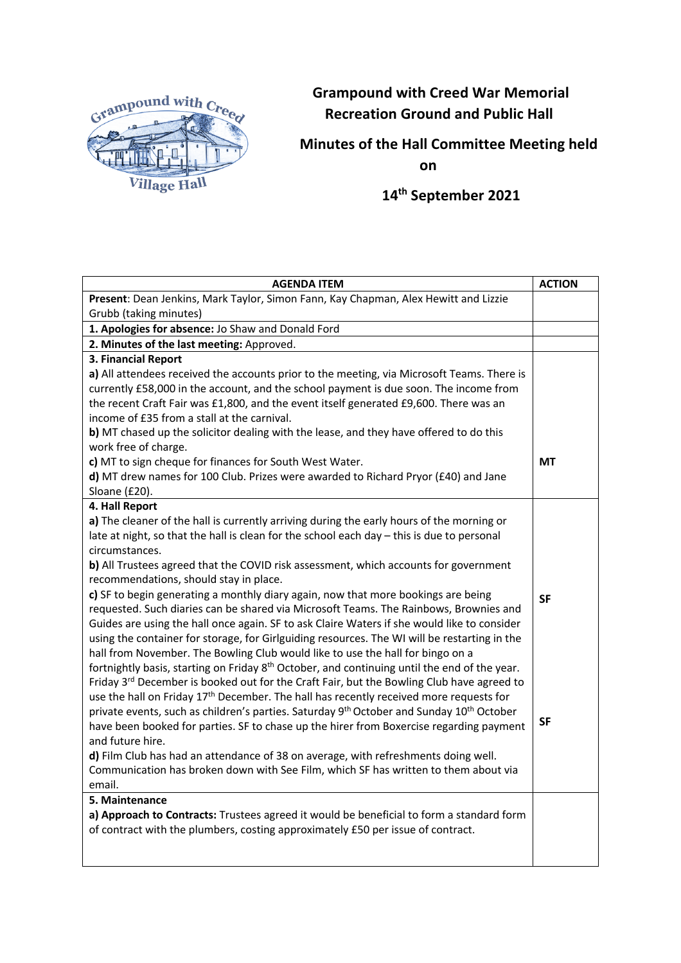

## **Grampound with Creed War Memorial Recreation Ground and Public Hall**

## **Minutes of the Hall Committee Meeting held**

**on**

 **14th September 2021**

| <b>AGENDA ITEM</b>                                                                                                                                                                                           | <b>ACTION</b> |
|--------------------------------------------------------------------------------------------------------------------------------------------------------------------------------------------------------------|---------------|
| Present: Dean Jenkins, Mark Taylor, Simon Fann, Kay Chapman, Alex Hewitt and Lizzie                                                                                                                          |               |
| Grubb (taking minutes)                                                                                                                                                                                       |               |
| 1. Apologies for absence: Jo Shaw and Donald Ford                                                                                                                                                            |               |
| 2. Minutes of the last meeting: Approved.                                                                                                                                                                    |               |
| 3. Financial Report                                                                                                                                                                                          |               |
| a) All attendees received the accounts prior to the meeting, via Microsoft Teams. There is                                                                                                                   |               |
| currently £58,000 in the account, and the school payment is due soon. The income from                                                                                                                        |               |
| the recent Craft Fair was £1,800, and the event itself generated £9,600. There was an                                                                                                                        |               |
| income of £35 from a stall at the carnival.                                                                                                                                                                  |               |
| b) MT chased up the solicitor dealing with the lease, and they have offered to do this                                                                                                                       |               |
| work free of charge.                                                                                                                                                                                         |               |
| c) MT to sign cheque for finances for South West Water.                                                                                                                                                      | <b>MT</b>     |
| d) MT drew names for 100 Club. Prizes were awarded to Richard Pryor (£40) and Jane                                                                                                                           |               |
| Sloane (£20).                                                                                                                                                                                                |               |
| 4. Hall Report                                                                                                                                                                                               |               |
| a) The cleaner of the hall is currently arriving during the early hours of the morning or                                                                                                                    |               |
| late at night, so that the hall is clean for the school each day - this is due to personal                                                                                                                   |               |
| circumstances.                                                                                                                                                                                               |               |
| b) All Trustees agreed that the COVID risk assessment, which accounts for government                                                                                                                         |               |
| recommendations, should stay in place.                                                                                                                                                                       |               |
| c) SF to begin generating a monthly diary again, now that more bookings are being                                                                                                                            | <b>SF</b>     |
| requested. Such diaries can be shared via Microsoft Teams. The Rainbows, Brownies and                                                                                                                        |               |
| Guides are using the hall once again. SF to ask Claire Waters if she would like to consider                                                                                                                  |               |
| using the container for storage, for Girlguiding resources. The WI will be restarting in the                                                                                                                 |               |
| hall from November. The Bowling Club would like to use the hall for bingo on a                                                                                                                               |               |
| fortnightly basis, starting on Friday 8 <sup>th</sup> October, and continuing until the end of the year.                                                                                                     |               |
| Friday 3 <sup>rd</sup> December is booked out for the Craft Fair, but the Bowling Club have agreed to                                                                                                        |               |
| use the hall on Friday $17th$ December. The hall has recently received more requests for<br>private events, such as children's parties. Saturday 9 <sup>th</sup> October and Sunday 10 <sup>th</sup> October |               |
| have been booked for parties. SF to chase up the hirer from Boxercise regarding payment                                                                                                                      | SF            |
| and future hire.                                                                                                                                                                                             |               |
| d) Film Club has had an attendance of 38 on average, with refreshments doing well.                                                                                                                           |               |
| Communication has broken down with See Film, which SF has written to them about via                                                                                                                          |               |
| email.                                                                                                                                                                                                       |               |
| 5. Maintenance                                                                                                                                                                                               |               |
| a) Approach to Contracts: Trustees agreed it would be beneficial to form a standard form                                                                                                                     |               |
| of contract with the plumbers, costing approximately £50 per issue of contract.                                                                                                                              |               |
|                                                                                                                                                                                                              |               |